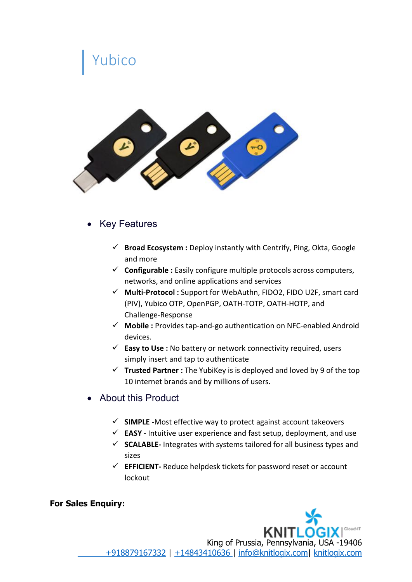## Yubico



## • Key Features

- **Broad Ecosystem :** Deploy instantly with Centrify, Ping, Okta, Google and more
- **Configurable :** Easily configure multiple protocols across computers, networks, and online applications and services
- **Multi-Protocol :** Support for WebAuthn, FIDO2, FIDO U2F, smart card (PIV), Yubico OTP, OpenPGP, OATH-TOTP, OATH-HOTP, and Challenge-Response
- **Mobile :** Provides tap-and-go authentication on NFC-enabled Android devices.
- **Easy to Use :** No battery or network connectivity required, users simply insert and tap to authenticate
- $\checkmark$  **Trusted Partner** : The YubiKey is is deployed and loved by 9 of the top 10 internet brands and by millions of users.
- $\bullet$  About this Product
	- **SIMPLE -**Most effective way to protect against account takeovers
	- **EASY -** Intuitive user experience and fast setup, deployment, and use
	- **SCALABLE-** Integrates with systems tailored for all business types and sizes
	- **EFFICIENT-** Reduce helpdesk tickets for password reset or account lockout

## **For Sales Enquiry:**